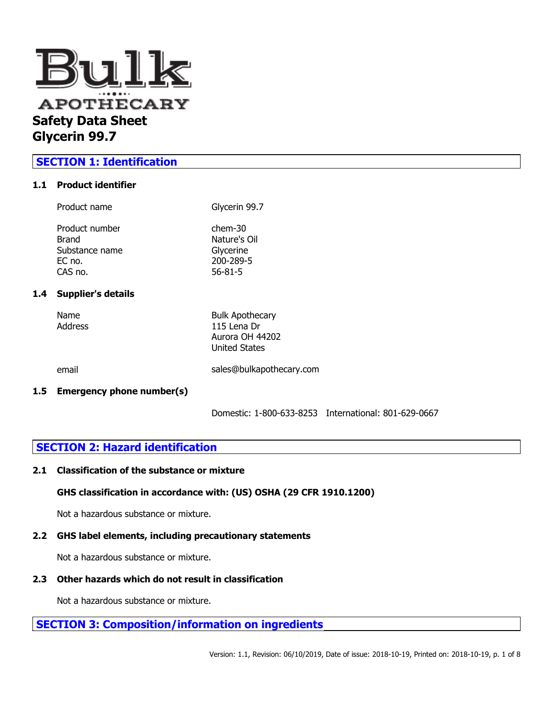

# **SECTION 1: Identification**

### **1.1 Product identifier**

 $1.4$ 

| Product name                                                     | Glycerin 99.7                                                        |
|------------------------------------------------------------------|----------------------------------------------------------------------|
| Product number<br>Brand<br>Substance name<br>$EC$ no.<br>CAS no. | $chem-30$<br>Nature's Oil<br>Glycerine<br>200-289-5<br>$56 - 81 - 5$ |
| <b>Supplier's details</b>                                        |                                                                      |
| Name                                                             | <b>Bulk Apothecary</b>                                               |

| Name<br>Address | <b>Bulk Apothecary</b><br>115 Lena Dr<br>Aurora OH 44202<br><b>United States</b> |
|-----------------|----------------------------------------------------------------------------------|
| email           | sales@bulkapothecary.com                                                         |

# **1.5 Emergency phone number(s)**

Domestic: 1-800-633-8253 International: 801-629-0667

# **SECTION 2: Hazard identification**

### **2.1 Classification of the substance or mixture**

# **GHS classification in accordance with: (US) OSHA (29 CFR 1910.1200)**

Not a hazardous substance or mixture.

# **2.2 GHS label elements, including precautionary statements**

Not a hazardous substance or mixture.

# **2.3 Other hazards which do not result in classification**

Not a hazardous substance or mixture.

**SECTION 3: Composition/information on ingredients**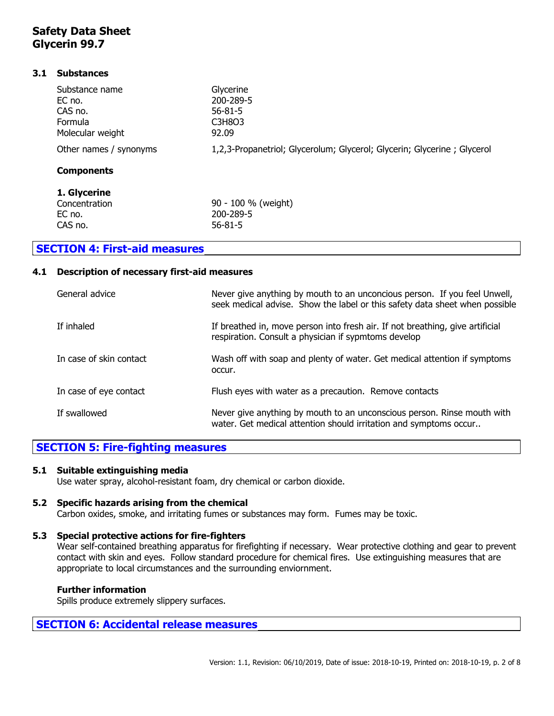### **3.1 Substances**

| 1. Glycerine           |                                                                         |
|------------------------|-------------------------------------------------------------------------|
| <b>Components</b>      |                                                                         |
| Other names / synonyms | 1,2,3-Propanetriol; Glycerolum; Glycerol; Glycerin; Glycerine; Glycerol |
| Molecular weight       | 92.09                                                                   |
| Formula                | C3H8O3                                                                  |
| CAS no.                | $56 - 81 - 5$                                                           |
| EC no.                 | 200-289-5                                                               |
| Substance name         | Glycerine                                                               |
|                        |                                                                         |

| Concentration | 90 - 100 % (weight) |
|---------------|---------------------|
| EC no.        | 200-289-5           |
| CAS no.       | $56 - 81 - 5$       |
|               |                     |

# **SECTION 4: First-aid measures**

### **4.1 Description of necessary first-aid measures**

| General advice          | Never give anything by mouth to an unconcious person. If you feel Unwell,<br>seek medical advise. Show the label or this safety data sheet when possible |
|-------------------------|----------------------------------------------------------------------------------------------------------------------------------------------------------|
| If inhaled              | If breathed in, move person into fresh air. If not breathing, give artificial<br>respiration. Consult a physician if sypmtoms develop                    |
| In case of skin contact | Wash off with soap and plenty of water. Get medical attention if symptoms<br>occur.                                                                      |
| In case of eye contact  | Flush eyes with water as a precaution. Remove contacts                                                                                                   |
| If swallowed            | Never give anything by mouth to an unconscious person. Rinse mouth with<br>water. Get medical attention should irritation and symptoms occur             |

# **SECTION 5: Fire-fighting measures**

### **5.1 Suitable extinguishing media**

Use water spray, alcohol-resistant foam, dry chemical or carbon dioxide.

### **5.2 Specific hazards arising from the chemical**

Carbon oxides, smoke, and irritating fumes or substances may form. Fumes may be toxic.

# **5.3 Special protective actions for fire-fighters**

Wear self-contained breathing apparatus for firefighting if necessary. Wear protective clothing and gear to prevent contact with skin and eyes. Follow standard procedure for chemical fires. Use extinguishing measures that are appropriate to local circumstances and the surrounding enviornment.

# **Further information**

Spills produce extremely slippery surfaces.

# **SECTION 6: Accidental release measures**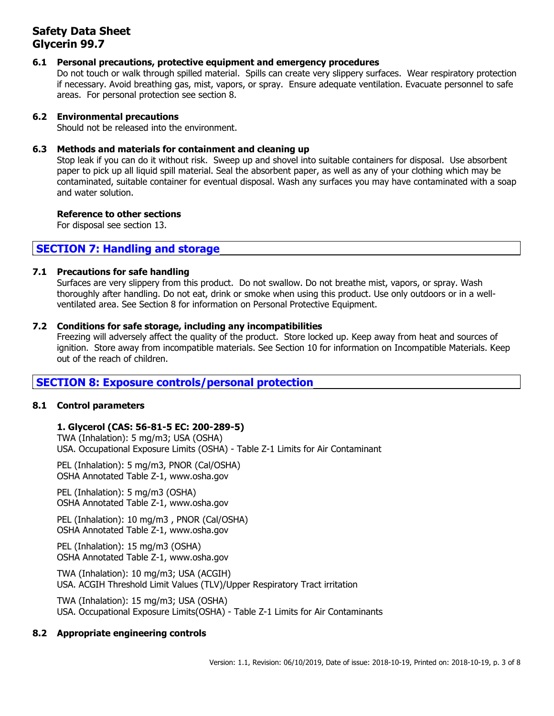# **6.1 Personal precautions, protective equipment and emergency procedures**

Do not touch or walk through spilled material. Spills can create very slippery surfaces. Wear respiratory protection if necessary. Avoid breathing gas, mist, vapors, or spray. Ensure adequate ventilation. Evacuate personnel to safe areas. For personal protection see section 8.

### **6.2 Environmental precautions**

Should not be released into the environment.

### **6.3 Methods and materials for containment and cleaning up**

Stop leak if you can do it without risk. Sweep up and shovel into suitable containers for disposal. Use absorbent paper to pick up all liquid spill material. Seal the absorbent paper, as well as any of your clothing which may be contaminated, suitable container for eventual disposal. Wash any surfaces you may have contaminated with a soap and water solution.

### **Reference to other sections**

For disposal see section 13.

# **SECTION 7: Handling and storage**

### **7.1 Precautions for safe handling**

Surfaces are very slippery from this product. Do not swallow. Do not breathe mist, vapors, or spray. Wash thoroughly after handling. Do not eat, drink or smoke when using this product. Use only outdoors or in a wellventilated area. See Section 8 for information on Personal Protective Equipment.

### **7.2 Conditions for safe storage, including any incompatibilities**

Freezing will adversely affect the quality of the product. Store locked up. Keep away from heat and sources of ignition. Store away from incompatible materials. See Section 10 for information on Incompatible Materials. Keep out of the reach of children.

# **SECTION 8: Exposure controls/personal protection**

# **8.1 Control parameters**

# **1. Glycerol (CAS: 56-81-5 EC: 200-289-5)**

TWA (Inhalation): 5 mg/m3; USA (OSHA) USA. Occupational Exposure Limits (OSHA) - Table Z-1 Limits for Air Contaminant

PEL (Inhalation): 5 mg/m3, PNOR (Cal/OSHA) OSHA Annotated Table Z-1, www.osha.gov

PEL (Inhalation): 5 mg/m3 (OSHA) OSHA Annotated Table Z-1, www.osha.gov

PEL (Inhalation): 10 mg/m3 , PNOR (Cal/OSHA) OSHA Annotated Table Z-1, www.osha.gov

PEL (Inhalation): 15 mg/m3 (OSHA) OSHA Annotated Table Z-1, www.osha.gov

TWA (Inhalation): 10 mg/m3; USA (ACGIH) USA. ACGIH Threshold Limit Values (TLV)/Upper Respiratory Tract irritation

TWA (Inhalation): 15 mg/m3; USA (OSHA) USA. Occupational Exposure Limits(OSHA) - Table Z-1 Limits for Air Contaminants

# **8.2 Appropriate engineering controls**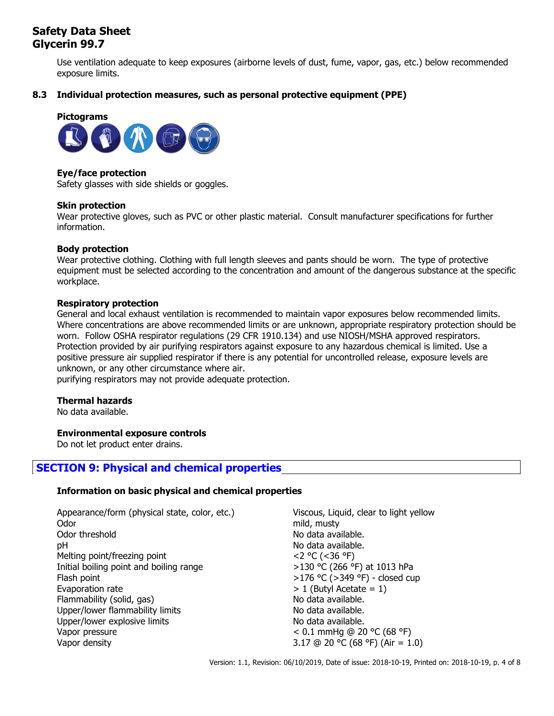Use ventilation adequate to keep exposures (airborne levels of dust, fume, vapor, gas, etc.) below recommended exposure limits.

# **8.3 Individual protection measures, such as personal protective equipment (PPE)**



### **Eye/face protection**

Safety glasses with side shields or goggles.

### **Skin protection**

Wear protective gloves, such as PVC or other plastic material. Consult manufacturer specifications for further information.

### **Body protection**

Wear protective clothing. Clothing with full length sleeves and pants should be worn. The type of protective equipment must be selected according to the concentration and amount of the dangerous substance at the specific workplace.

### **Respiratory protection**

General and local exhaust ventilation is recommended to maintain vapor exposures below recommended limits. Where concentrations are above recommended limits or are unknown, appropriate respiratory protection should be worn. Follow OSHA respirator regulations (29 CFR 1910.134) and use NIOSH/MSHA approved respirators. Protection provided by air purifying respirators against exposure to any hazardous chemical is limited. Use a positive pressure air supplied respirator if there is any potential for uncontrolled release, exposure levels are unknown, or any other circumstance where air.

purifying respirators may not provide adequate protection.

### **Thermal hazards**

No data available.

### **Environmental exposure controls**

Do not let product enter drains.

# **SECTION 9: Physical and chemical properties**

# **Information on basic physical and chemical properties**

| Appearance/form (physical state, color, etc.) | Viscous, Liquid, clear to light yellow |
|-----------------------------------------------|----------------------------------------|
| Odor                                          | mild, musty                            |
| Odor threshold                                | No data available.                     |
| рH                                            | No data available.                     |
| Melting point/freezing point                  | $<$ 2 °C (<36 °F)                      |
| Initial boiling point and boiling range       | >130 °C (266 °F) at 1013 hPa           |
| Flash point                                   | >176 °C (>349 °F) - closed cup         |
| Evaporation rate                              | $> 1$ (Butyl Acetate = 1)              |
| Flammability (solid, gas)                     | No data available.                     |
| Upper/lower flammability limits               | No data available.                     |
| Upper/lower explosive limits                  | No data available.                     |
| Vapor pressure                                | < 0.1 mmHg @ 20 °C (68 °F)             |
| Vapor density                                 | 3.17 @ 20 °C (68 °F) (Air = 1.0)       |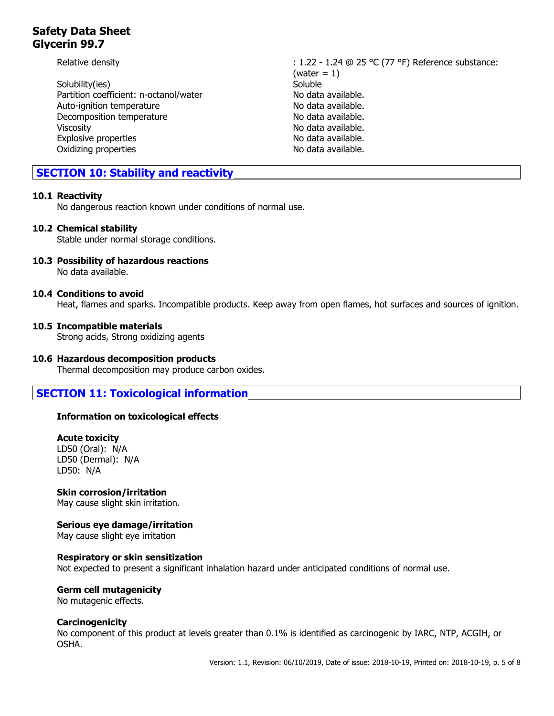Solubility(ies) Soluble Partition coefficient: n-octanol/water No data available. Auto-ignition temperature No data available. Decomposition temperature No data available. Viscosity **No data available.** Explosive properties No data available. Oxidizing properties No data available.

Relative density  $\begin{array}{c}\n\text{Relative density} \\
\text{The equation is:}\n\end{array}$  : 1.22 - 1.24  $\textcircled{a}$  25 °C (77 °F) Reference substance:  $(water = 1)$ 

# **SECTION 10: Stability and reactivity**

# **10.1 Reactivity**

No dangerous reaction known under conditions of normal use.

# **10.2 Chemical stability**

Stable under normal storage conditions.

#### **10.3 Possibility of hazardous reactions** No data available.

### **10.4 Conditions to avoid**

Heat, flames and sparks. Incompatible products. Keep away from open flames, hot surfaces and sources of ignition.

# **10.5 Incompatible materials**

Strong acids, Strong oxidizing agents

# **10.6 Hazardous decomposition products**

Thermal decomposition may produce carbon oxides.

# **SECTION 11: Toxicological information**

# **Information on toxicological effects**

### **Acute toxicity**

LD50 (Oral): N/A LD50 (Dermal): N/A LD50: N/A

# **Skin corrosion/irritation**

May cause slight skin irritation.

# **Serious eye damage/irritation**

May cause slight eye irritation

### **Respiratory or skin sensitization**

Not expected to present a significant inhalation hazard under anticipated conditions of normal use.

# **Germ cell mutagenicity**

No mutagenic effects.

# **Carcinogenicity**

No component of this product at levels greater than 0.1% is identified as carcinogenic by IARC, NTP, ACGIH, or OSHA.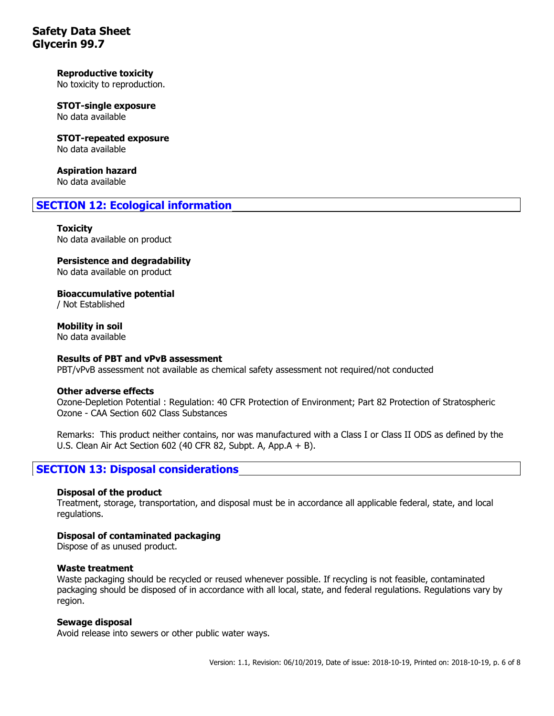# **Reproductive toxicity**

No toxicity to reproduction.

# **STOT-single exposure**

No data available

**STOT-repeated exposure** No data available

**Aspiration hazard** No data available

# **SECTION 12: Ecological information**

### **Toxicity**

No data available on product

# **Persistence and degradability**

No data available on product

**Bioaccumulative potential**

/ Not Established

**Mobility in soil** No data available

### **Results of PBT and vPvB assessment**

PBT/vPvB assessment not available as chemical safety assessment not required/not conducted

### **Other adverse effects**

Ozone-Depletion Potential : Regulation: 40 CFR Protection of Environment; Part 82 Protection of Stratospheric Ozone - CAA Section 602 Class Substances

Remarks: This product neither contains, nor was manufactured with a Class I or Class II ODS as defined by the U.S. Clean Air Act Section 602 (40 CFR 82, Subpt. A, App.A + B).

# **SECTION 13: Disposal considerations**

### **Disposal of the product**

Treatment, storage, transportation, and disposal must be in accordance all applicable federal, state, and local regulations.

# **Disposal of contaminated packaging**

Dispose of as unused product.

### **Waste treatment**

Waste packaging should be recycled or reused whenever possible. If recycling is not feasible, contaminated packaging should be disposed of in accordance with all local, state, and federal regulations. Regulations vary by region.

### **Sewage disposal**

Avoid release into sewers or other public water ways.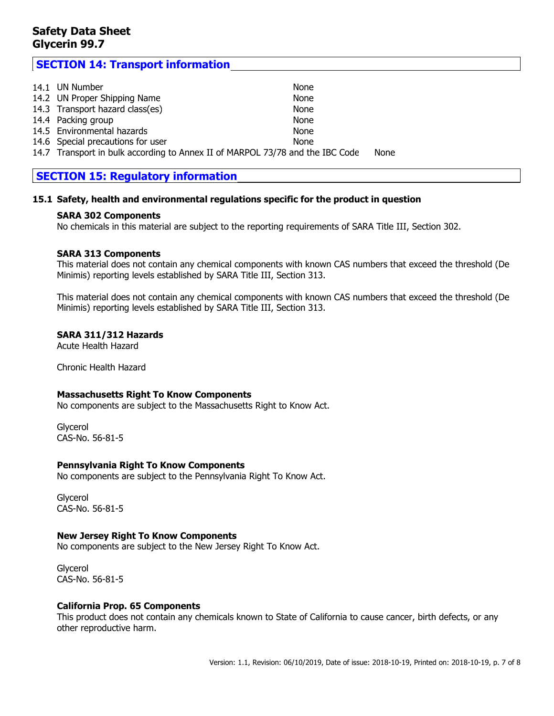# **SECTION 14: Transport information**

| 14.1 UN Number                                                                | None        |      |  |
|-------------------------------------------------------------------------------|-------------|------|--|
| 14.2 UN Proper Shipping Name                                                  | None        |      |  |
| 14.3 Transport hazard class(es)                                               | None        |      |  |
| 14.4 Packing group                                                            | None        |      |  |
| 14.5 Environmental hazards                                                    | None        |      |  |
| 14.6 Special precautions for user                                             | <b>None</b> |      |  |
| 14.7 Transport in bulk according to Annex II of MARPOL 73/78 and the IBC Code |             | None |  |

# **SECTION 15: Regulatory information**

### **15.1 Safety, health and environmental regulations specific for the product in question**

### **SARA 302 Components**

No chemicals in this material are subject to the reporting requirements of SARA Title III, Section 302.

### **SARA 313 Components**

This material does not contain any chemical components with known CAS numbers that exceed the threshold (De Minimis) reporting levels established by SARA Title III, Section 313.

This material does not contain any chemical components with known CAS numbers that exceed the threshold (De Minimis) reporting levels established by SARA Title III, Section 313.

### **SARA 311/312 Hazards**

Acute Health Hazard

Chronic Health Hazard

# **Massachusetts Right To Know Components**

No components are subject to the Massachusetts Right to Know Act.

**Glycerol** CAS-No. 56-81-5

### **Pennsylvania Right To Know Components**

No components are subject to the Pennsylvania Right To Know Act.

Glycerol CAS-No. 56-81-5

### **New Jersey Right To Know Components**

No components are subject to the New Jersey Right To Know Act.

Glycerol CAS-No. 56-81-5

### **California Prop. 65 Components**

This product does not contain any chemicals known to State of California to cause cancer, birth defects, or any other reproductive harm.